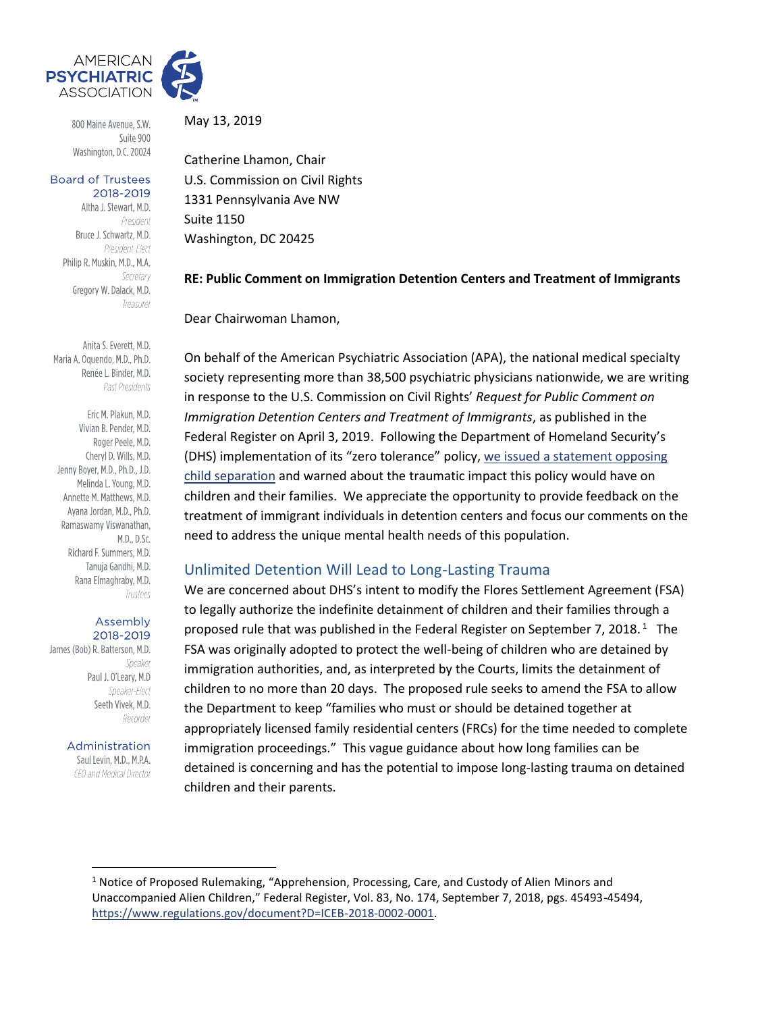

800 Maine Avenue, S.W. Suite 900 Washington, D.C. 20024

#### **Board of Trustees** 2018-2019

Altha J. Stewart, M.D. President Bruce J. Schwartz, M.D. President-Elect Philip R. Muskin, M.D., M.A. Secretary Gregory W. Dalack, M.D. Treasurer

Anita S. Everett, M.D. Maria A. Oquendo, M.D., Ph.D. Renée L. Binder, M.D. Past Presidents

Eric M. Plakun, M.D. Vivian B. Pender, M.D. Roger Peele, M.D. Cheryl D. Wills, M.D. Jenny Boyer, M.D., Ph.D., J.D. Melinda L. Young, M.D. Annette M. Matthews, M.D. Ayana Jordan, M.D., Ph.D. Ramaswamy Viswanathan, M.D., D.Sc. Richard F. Summers, M.D. Tanuja Gandhi, M.D. Rana Elmaghraby, M.D. Trustees

#### Assembly 2018-2019

James (Bob) R. Batterson, M.D. Speaker Paul J. O'Leary, M.D Speaker-Elect Seeth Vivek, M.D. Recorder

> Administration Saul Levin, M.D., M.P.A. CEO and Medical Director

> > $\overline{a}$

May 13, 2019

Catherine Lhamon, Chair U.S. Commission on Civil Rights 1331 Pennsylvania Ave NW Suite 1150 Washington, DC 20425

#### **RE: Public Comment on Immigration Detention Centers and Treatment of Immigrants**

Dear Chairwoman Lhamon,

On behalf of the American Psychiatric Association (APA), the national medical specialty society representing more than 38,500 psychiatric physicians nationwide, we are writing in response to the U.S. Commission on Civil Rights' *Request for Public Comment on Immigration Detention Centers and Treatment of Immigrants*, as published in the Federal Register on April 3, 2019. Following the Department of Homeland Security's (DHS) implementation of its "zero tolerance" policy[, we issued a statement opposing](https://www.psychiatry.org/newsroom/news-releases/apa-statement-opposing-separation-of-children-from-parents-at-the-border)  [child separation](https://www.psychiatry.org/newsroom/news-releases/apa-statement-opposing-separation-of-children-from-parents-at-the-border) and warned about the traumatic impact this policy would have on children and their families. We appreciate the opportunity to provide feedback on the treatment of immigrant individuals in detention centers and focus our comments on the need to address the unique mental health needs of this population.

# Unlimited Detention Will Lead to Long-Lasting Trauma

We are concerned about DHS's intent to modify the Flores Settlement Agreement (FSA) to legally authorize the indefinite detainment of children and their families through a proposed rule that was published in the Federal Register on September 7, 2018. $^1$  The FSA was originally adopted to protect the well-being of children who are detained by immigration authorities, and, as interpreted by the Courts, limits the detainment of children to no more than 20 days. The proposed rule seeks to amend the FSA to allow the Department to keep "families who must or should be detained together at appropriately licensed family residential centers (FRCs) for the time needed to complete immigration proceedings." This vague guidance about how long families can be detained is concerning and has the potential to impose long-lasting trauma on detained children and their parents.

<sup>&</sup>lt;sup>1</sup> Notice of Proposed Rulemaking, "Apprehension, Processing, Care, and Custody of Alien Minors and Unaccompanied Alien Children," Federal Register, Vol. 83, No. 174, September 7, 2018, pgs. 45493-45494, [https://www.regulations.gov/document?D=ICEB-2018-0002-0001.](https://www.regulations.gov/document?D=ICEB-2018-0002-0001)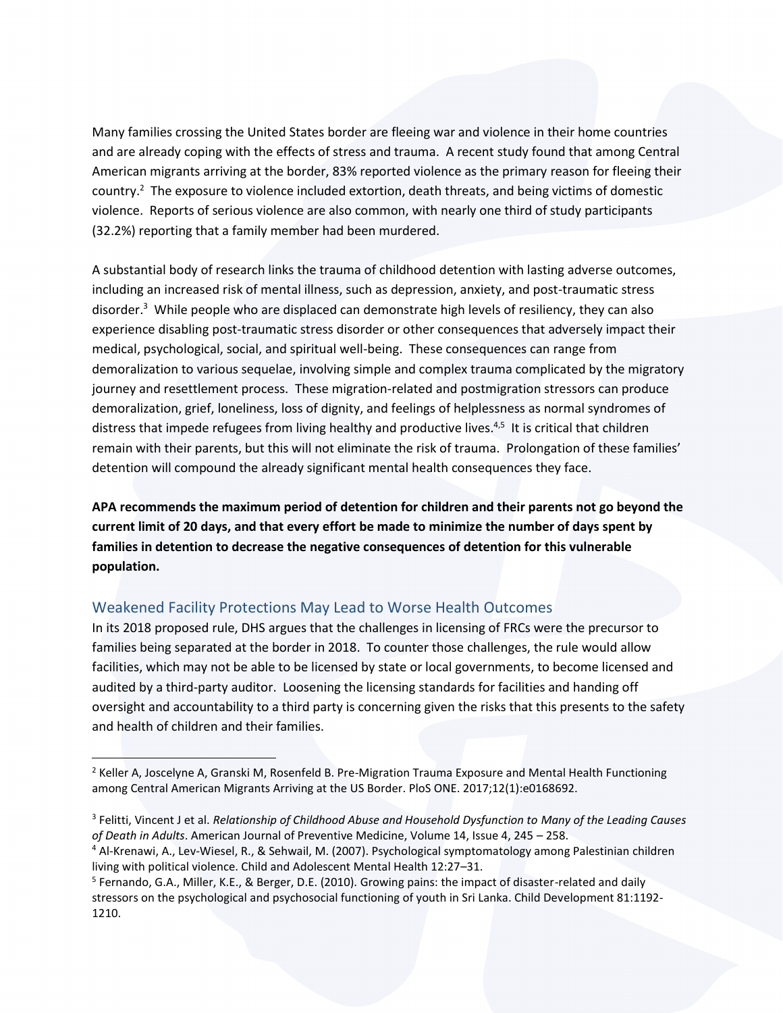Many families crossing the United States border are fleeing war and violence in their home countries and are already coping with the effects of stress and trauma. A recent study found that among Central American migrants arriving at the border, 83% reported violence as the primary reason for fleeing their country.<sup>2</sup> The exposure to violence included extortion, death threats, and being victims of domestic violence. Reports of serious violence are also common, with nearly one third of study participants (32.2%) reporting that a family member had been murdered.

A substantial body of research links the trauma of childhood detention with lasting adverse outcomes, including an increased risk of mental illness, such as depression, anxiety, and post-traumatic stress disorder.<sup>3</sup> While people who are displaced can demonstrate high levels of resiliency, they can also experience disabling post-traumatic stress disorder or other consequences that adversely impact their medical, psychological, social, and spiritual well-being. These consequences can range from demoralization to various sequelae, involving simple and complex trauma complicated by the migratory journey and resettlement process. These migration-related and postmigration stressors can produce demoralization, grief, loneliness, loss of dignity, and feelings of helplessness as normal syndromes of distress that impede refugees from living healthy and productive lives.<sup>4,5</sup> It is critical that children remain with their parents, but this will not eliminate the risk of trauma. Prolongation of these families' detention will compound the already significant mental health consequences they face.

**APA recommends the maximum period of detention for children and their parents not go beyond the current limit of 20 days, and that every effort be made to minimize the number of days spent by families in detention to decrease the negative consequences of detention for this vulnerable population.**

# Weakened Facility Protections May Lead to Worse Health Outcomes

 $\overline{a}$ 

In its 2018 proposed rule, DHS argues that the challenges in licensing of FRCs were the precursor to families being separated at the border in 2018. To counter those challenges, the rule would allow facilities, which may not be able to be licensed by state or local governments, to become licensed and audited by a third-party auditor. Loosening the licensing standards for facilities and handing off oversight and accountability to a third party is concerning given the risks that this presents to the safety and health of children and their families.

<sup>&</sup>lt;sup>2</sup> Keller A, Joscelyne A, Granski M, Rosenfeld B. Pre-Migration Trauma Exposure and Mental Health Functioning among Central American Migrants Arriving at the US Border. PloS ONE. 2017;12(1):e0168692.

<sup>3</sup> Felitti, Vincent J et al. *Relationship of Childhood Abuse and Household Dysfunction to Many of the Leading Causes of Death in Adults*. American Journal of Preventive Medicine, Volume 14, Issue 4, 245 – 258.

<sup>4</sup> Al-Krenawi, A., Lev-Wiesel, R., & Sehwail, M. (2007). Psychological symptomatology among Palestinian children living with political violence. Child and Adolescent Mental Health 12:27–31.

<sup>&</sup>lt;sup>5</sup> Fernando, G.A., Miller, K.E., & Berger, D.E. (2010). Growing pains: the impact of disaster-related and daily stressors on the psychological and psychosocial functioning of youth in Sri Lanka. Child Development 81:1192- 1210.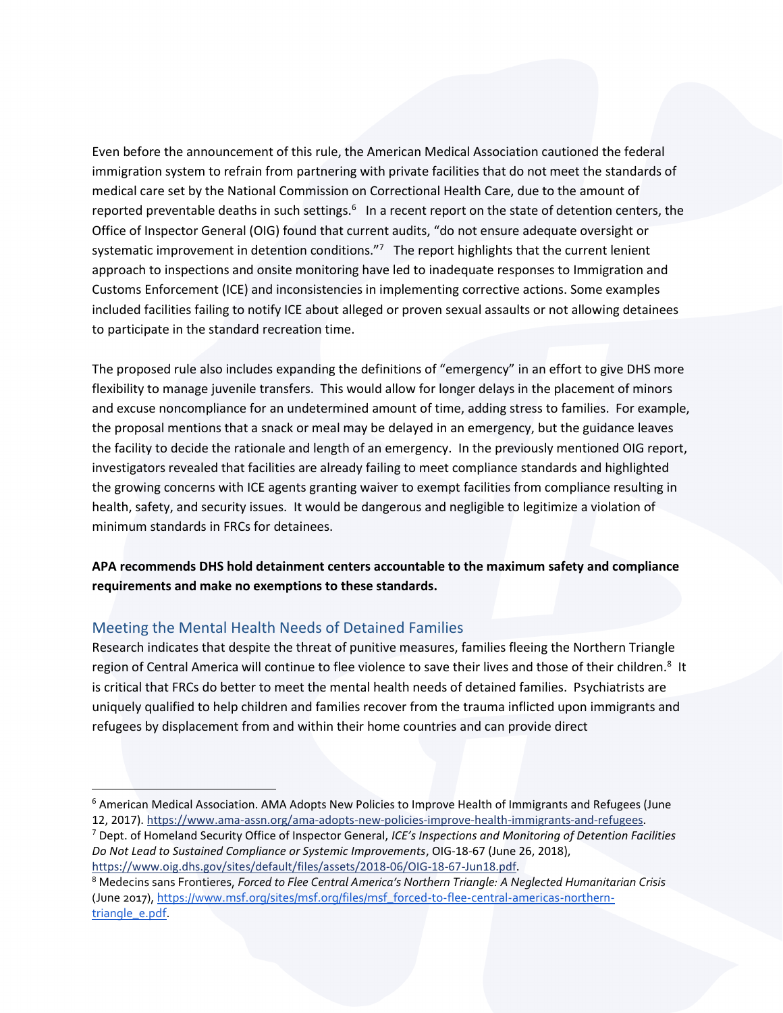Even before the announcement of this rule, the American Medical Association cautioned the federal immigration system to refrain from partnering with private facilities that do not meet the standards of medical care set by the National Commission on Correctional Health Care, due to the amount of reported preventable deaths in such settings.<sup>6</sup> In a recent report on the state of detention centers, the Office of Inspector General (OIG) found that current audits, "do not ensure adequate oversight or systematic improvement in detention conditions."<sup>7</sup> The report highlights that the current lenient approach to inspections and onsite monitoring have led to inadequate responses to Immigration and Customs Enforcement (ICE) and inconsistencies in implementing corrective actions. Some examples included facilities failing to notify ICE about alleged or proven sexual assaults or not allowing detainees to participate in the standard recreation time.

The proposed rule also includes expanding the definitions of "emergency" in an effort to give DHS more flexibility to manage juvenile transfers. This would allow for longer delays in the placement of minors and excuse noncompliance for an undetermined amount of time, adding stress to families. For example, the proposal mentions that a snack or meal may be delayed in an emergency, but the guidance leaves the facility to decide the rationale and length of an emergency. In the previously mentioned OIG report, investigators revealed that facilities are already failing to meet compliance standards and highlighted the growing concerns with ICE agents granting waiver to exempt facilities from compliance resulting in health, safety, and security issues. It would be dangerous and negligible to legitimize a violation of minimum standards in FRCs for detainees.

**APA recommends DHS hold detainment centers accountable to the maximum safety and compliance requirements and make no exemptions to these standards.** 

# Meeting the Mental Health Needs of Detained Families

 $\overline{a}$ 

Research indicates that despite the threat of punitive measures, families fleeing the Northern Triangle region of Central America will continue to flee violence to save their lives and those of their children.<sup>8</sup> It is critical that FRCs do better to meet the mental health needs of detained families. Psychiatrists are uniquely qualified to help children and families recover from the trauma inflicted upon immigrants and refugees by displacement from and within their home countries and can provide direct

<sup>7</sup> Dept. of Homeland Security Office of Inspector General, *ICE's Inspections and Monitoring of Detention Facilities Do Not Lead to Sustained Compliance or Systemic Improvements*, OIG-18-67 (June 26, 2018), [https://www.oig.dhs.gov/sites/default/files/assets/2018-06/OIG-18-67-Jun18.pdf.](https://www.oig.dhs.gov/sites/default/files/assets/2018-06/OIG-18-67-Jun18.pdf)

<sup>&</sup>lt;sup>6</sup> American Medical Association. AMA Adopts New Policies to Improve Health of Immigrants and Refugees (June 12, 2017). [https://www.ama-assn.org/ama-adopts-new-policies-improve-health-immigrants-and-refugees.](https://www.ama-assn.org/ama-adopts-new-policies-improve-health-immigrants-and-refugees)

<sup>8</sup> Medecins sans Frontieres, *Forced to Flee Central America's Northern Triangle: A Neglected Humanitarian Crisis* (June 2017), [https://www.msf.org/sites/msf.org/files/msf\\_forced-to-flee-central-americas-northern](https://www.msf.org/sites/msf.org/files/msf_forced-to-flee-central-americas-northern-triangle_e.pdf)[triangle\\_e.pdf.](https://www.msf.org/sites/msf.org/files/msf_forced-to-flee-central-americas-northern-triangle_e.pdf)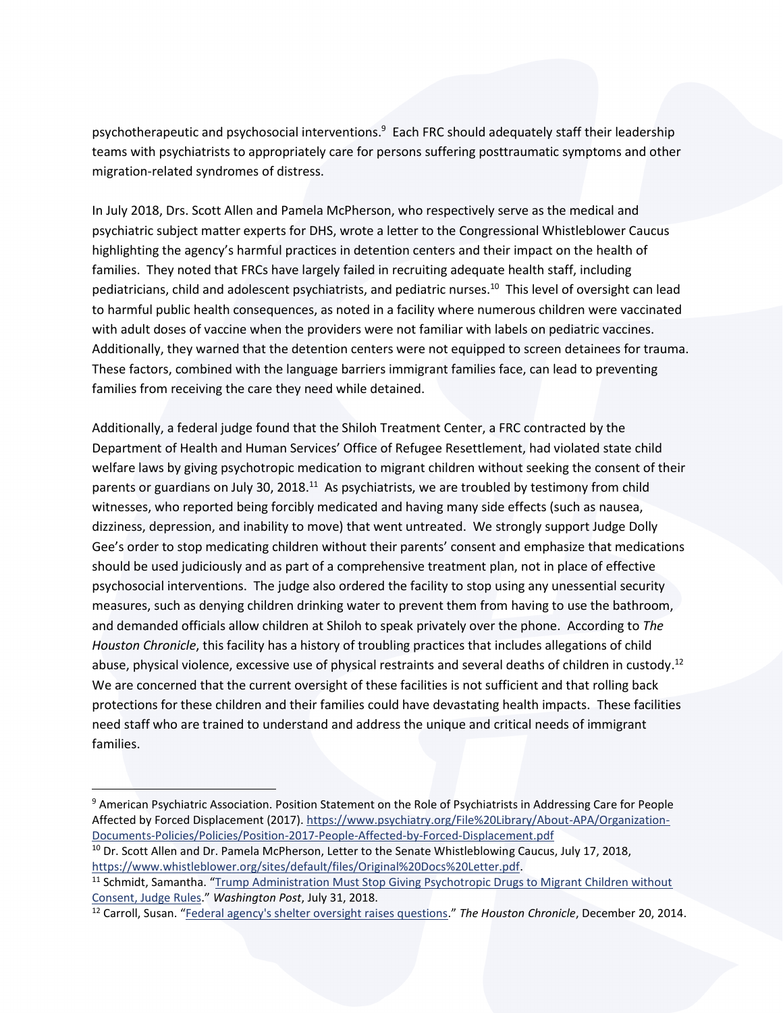psychotherapeutic and psychosocial interventions.<sup>9</sup> Each FRC should adequately staff their leadership teams with psychiatrists to appropriately care for persons suffering posttraumatic symptoms and other migration-related syndromes of distress.

In July 2018, Drs. Scott Allen and Pamela McPherson, who respectively serve as the medical and psychiatric subject matter experts for DHS, wrote a letter to the Congressional Whistleblower Caucus highlighting the agency's harmful practices in detention centers and their impact on the health of families. They noted that FRCs have largely failed in recruiting adequate health staff, including pediatricians, child and adolescent psychiatrists, and pediatric nurses.<sup>10</sup> This level of oversight can lead to harmful public health consequences, as noted in a facility where numerous children were vaccinated with adult doses of vaccine when the providers were not familiar with labels on pediatric vaccines. Additionally, they warned that the detention centers were not equipped to screen detainees for trauma. These factors, combined with the language barriers immigrant families face, can lead to preventing families from receiving the care they need while detained.

Additionally, a federal judge found that the Shiloh Treatment Center, a FRC contracted by the Department of Health and Human Services' Office of Refugee Resettlement, had violated state child welfare laws by giving psychotropic medication to migrant children without seeking the consent of their parents or guardians on July 30, 2018.<sup>11</sup> As psychiatrists, we are troubled by testimony from child witnesses, who reported being forcibly medicated and having many side effects (such as nausea, dizziness, depression, and inability to move) that went untreated. We strongly support Judge Dolly Gee's order to stop medicating children without their parents' consent and emphasize that medications should be used judiciously and as part of a comprehensive treatment plan, not in place of effective psychosocial interventions. The judge also ordered the facility to stop using any unessential security measures, such as denying children drinking water to prevent them from having to use the bathroom, and demanded officials allow children at Shiloh to speak privately over the phone. According to *The Houston Chronicle*, this facility has a history of troubling practices that includes allegations of child abuse, physical violence, excessive use of physical restraints and several deaths of children in custody.<sup>12</sup> We are concerned that the current oversight of these facilities is not sufficient and that rolling back protections for these children and their families could have devastating health impacts. These facilities need staff who are trained to understand and address the unique and critical needs of immigrant families.

 $\overline{a}$ 

<sup>9</sup> American Psychiatric Association. Position Statement on the Role of Psychiatrists in Addressing Care for People Affected by Forced Displacement (2017). [https://www.psychiatry.org/File%20Library/About-APA/Organization-](https://www.psychiatry.org/File%20Library/About-APA/Organization-Documents-Policies/Policies/Position-2017-People-Affected-by-Forced-Displacement.pdf)[Documents-Policies/Policies/Position-2017-People-Affected-by-Forced-Displacement.pdf](https://www.psychiatry.org/File%20Library/About-APA/Organization-Documents-Policies/Policies/Position-2017-People-Affected-by-Forced-Displacement.pdf)

<sup>&</sup>lt;sup>10</sup> Dr. Scott Allen and Dr. Pamela McPherson, Letter to the Senate Whistleblowing Caucus, July 17, 2018, [https://www.whistleblower.org/sites/default/files/Original%20Docs%20Letter.pdf.](https://www.whistleblower.org/sites/default/files/Original%20Docs%20Letter.pdf)

<sup>&</sup>lt;sup>11</sup> Schmidt, Samantha. "Trump Administration Must Stop Giving Psychotropic Drugs to Migrant Children without [Consent, Judge Rules](https://www.washingtonpost.com/news/morning-mix/wp/2018/07/31/trump-administration-must-seek-consent-before-giving-drugs-to-migrant-children-judge-rules/?utm_term=.74085f6462d1)." *Washington Post*, July 31, 2018.

<sup>12</sup> Carroll, Susan. "[Federal agency's shelter oversight raises questions](https://www.houstonchronicle.com/news/article/Federal-agency-s-shelter-oversight-raises-5969617.php)." *The Houston Chronicle*, December 20, 2014.